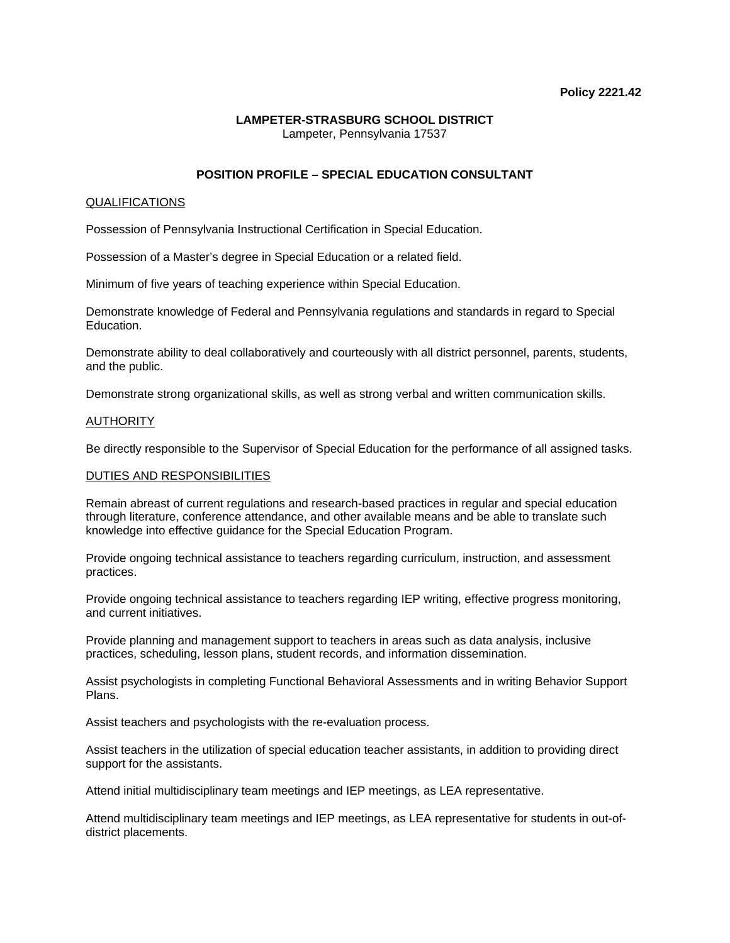## **LAMPETER-STRASBURG SCHOOL DISTRICT**  Lampeter, Pennsylvania 17537

# **POSITION PROFILE – SPECIAL EDUCATION CONSULTANT**

## QUALIFICATIONS

Possession of Pennsylvania Instructional Certification in Special Education.

Possession of a Master's degree in Special Education or a related field.

Minimum of five years of teaching experience within Special Education.

Demonstrate knowledge of Federal and Pennsylvania regulations and standards in regard to Special Education.

Demonstrate ability to deal collaboratively and courteously with all district personnel, parents, students, and the public.

Demonstrate strong organizational skills, as well as strong verbal and written communication skills.

### **AUTHORITY**

Be directly responsible to the Supervisor of Special Education for the performance of all assigned tasks.

### DUTIES AND RESPONSIBILITIES

Remain abreast of current regulations and research-based practices in regular and special education through literature, conference attendance, and other available means and be able to translate such knowledge into effective guidance for the Special Education Program.

Provide ongoing technical assistance to teachers regarding curriculum, instruction, and assessment practices.

Provide ongoing technical assistance to teachers regarding IEP writing, effective progress monitoring, and current initiatives.

Provide planning and management support to teachers in areas such as data analysis, inclusive practices, scheduling, lesson plans, student records, and information dissemination.

Assist psychologists in completing Functional Behavioral Assessments and in writing Behavior Support Plans.

Assist teachers and psychologists with the re-evaluation process.

Assist teachers in the utilization of special education teacher assistants, in addition to providing direct support for the assistants.

Attend initial multidisciplinary team meetings and IEP meetings, as LEA representative.

Attend multidisciplinary team meetings and IEP meetings, as LEA representative for students in out-ofdistrict placements.